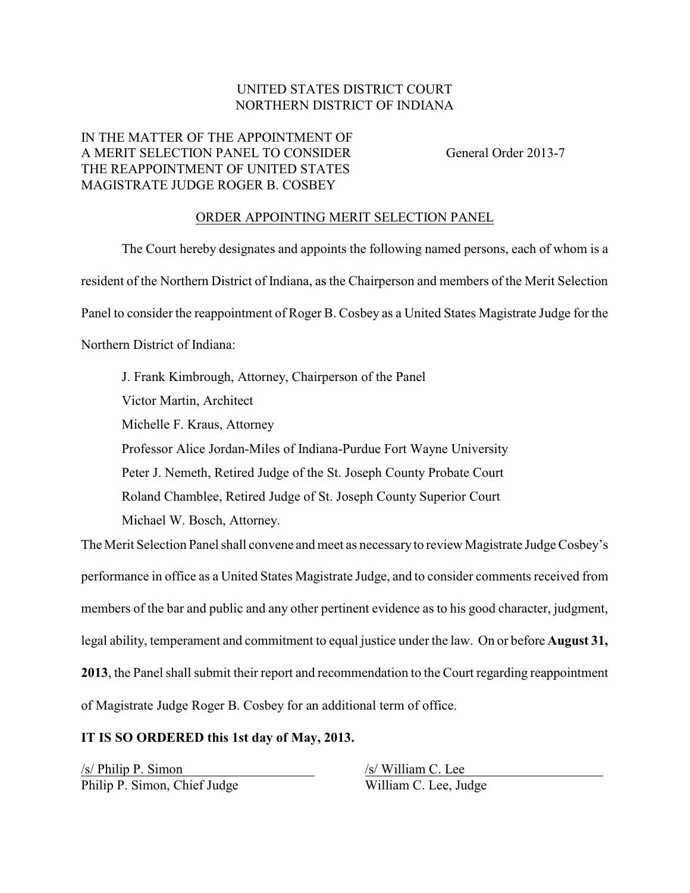## UNITED STATES DISTRICT COURT NORTHERN DISTRICT OF INDIANA

## IN THE MATTER OF THE APPOINTMENT OF A MERIT SELECTION PANEL TO CONSIDER General Order 2013-7 THE REAPPOINTMENT OF UNITED STATES MAGISTRATE JUDGE ROGER B. COSBEY

## ORDER APPOINTING MERIT SELECTION PANEL

The Court hereby designates and appoints the following named persons, each of whom is a resident of the Northern District of Indiana, as the Chairperson and members of the Merit Selection Panel to consider the reappointment of Roger B. Cosbey as a United States Magistrate Judge for the Northern District of Indiana: J. Frank Kimbrough, Attorney, Chairperson of the Panel Victor Martin, Architect Michelle F. Kraus, Attorney Professor Alice Jordan-Miles of Indiana-Purdue Fort Wayne University Peter J. Nemeth, Retired Judge of the St. Joseph County Probate Court Roland Chamblee, Retired Judge of St. Joseph County Superior Court

Michael W. Bosch, Attorney.

The Merit Selection Panel shall convene and meet as necessaryto review Magistrate Judge Cosbey's performance in office as a United States Magistrate Judge, and to consider comments received from members of the bar and public and any other pertinent evidence as to his good character, judgment, legal ability, temperament and commitment to equal justice under the law. On or before **August 31, 2013**, the Panel shall submit their report and recommendation to the Court regarding reappointment of Magistrate Judge Roger B. Cosbey for an additional term of office.

## **IT IS SO ORDERED this 1st day of May, 2013.**

/s/ Philip P. Simon /s/ William C. Lee Philip P. Simon, Chief Judge William C. Lee, Judge